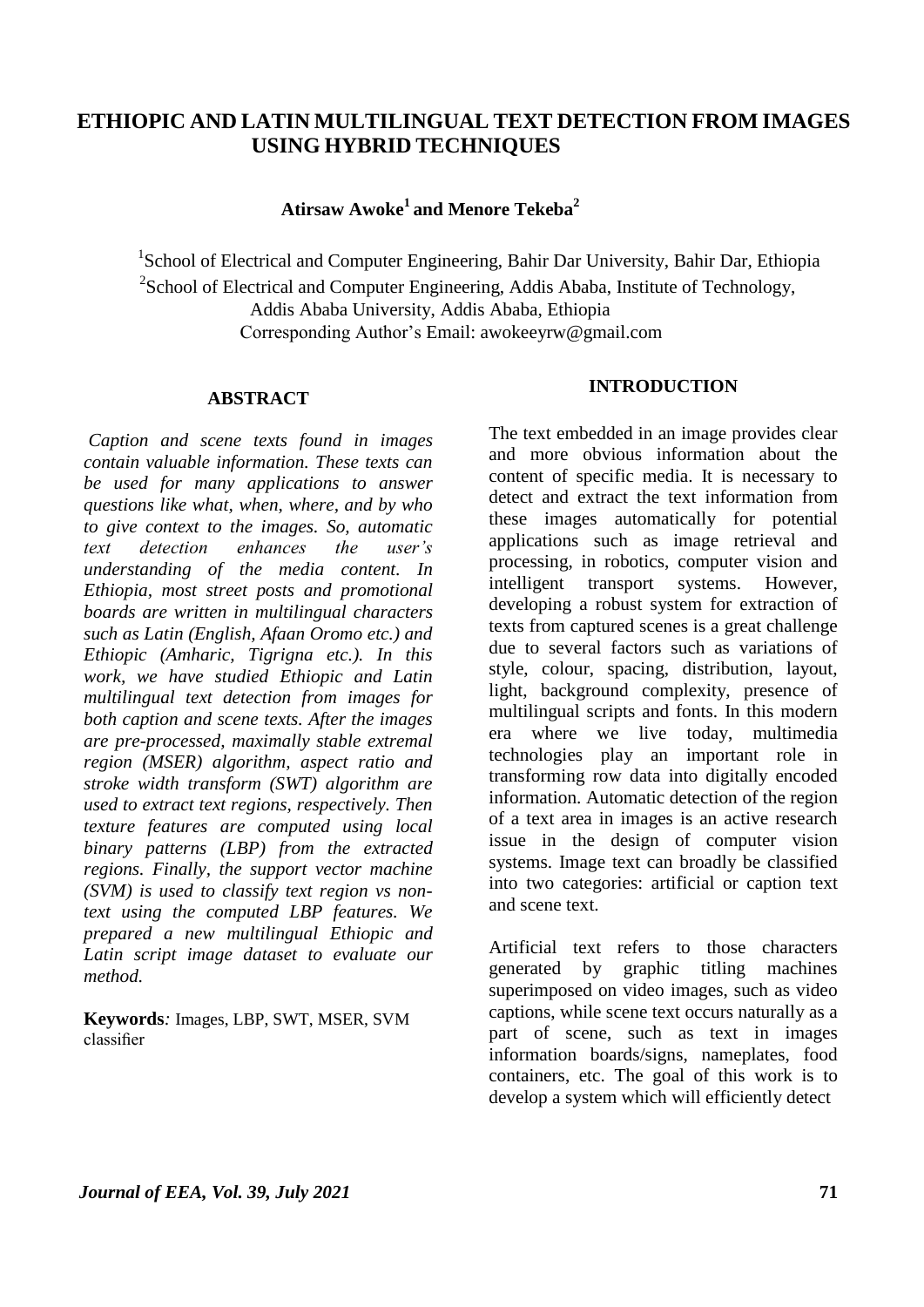# **ETHIOPIC AND LATIN MULTILINGUAL TEXT DETECTION FROM IMAGES USING HYBRID TECHNIQUES**

**Atirsaw Awoke<sup>1</sup>and Menore Tekeba<sup>2</sup>**

<sup>1</sup>School of Electrical and Computer Engineering, Bahir Dar University, Bahir Dar, Ethiopia <sup>2</sup>School of Electrical and Computer Engineering, Addis Ababa, Institute of Technology, Addis Ababa University, Addis Ababa, Ethiopia Corresponding Author's Email: awokeeyrw@gmail.com

#### **ABSTRACT**

*Caption and scene texts found in images contain valuable information. These texts can be used for many applications to answer questions like what, when, where, and by who to give context to the images. So, automatic text detection enhances the user's understanding of the media content. In Ethiopia, most street posts and promotional boards are written in multilingual characters such as Latin (English, Afaan Oromo etc.) and Ethiopic (Amharic, Tigrigna etc.). In this work, we have studied Ethiopic and Latin multilingual text detection from images for both caption and scene texts. After the images are pre-processed, maximally stable extremal region (MSER) algorithm, aspect ratio and stroke width transform (SWT) algorithm are used to extract text regions, respectively. Then texture features are computed using local binary patterns (LBP) from the extracted regions. Finally, the support vector machine (SVM) is used to classify text region vs nontext using the computed LBP features. We prepared a new multilingual Ethiopic and Latin script image dataset to evaluate our method.*

**Keywords***:* Images, LBP, SWT, MSER, SVM classifier

## **INTRODUCTION**

The text embedded in an image provides clear and more obvious information about the content of specific media. It is necessary to detect and extract the text information from these images automatically for potential applications such as image retrieval and processing, in robotics, computer vision and intelligent transport systems. However, developing a robust system for extraction of texts from captured scenes is a great challenge due to several factors such as variations of style, colour, spacing, distribution, layout, light, background complexity, presence of multilingual scripts and fonts. In this modern era where we live today, multimedia technologies play an important role in transforming row data into digitally encoded information. Automatic detection of the region of a text area in images is an active research issue in the design of computer vision systems. Image text can broadly be classified into two categories: artificial or caption text and scene text.

Artificial text refers to those characters generated by graphic titling machines superimposed on video images, such as video captions, while scene text occurs naturally as a part of scene, such as text in images information boards/signs, nameplates, food containers, etc. The goal of this work is to develop a system which will efficiently detect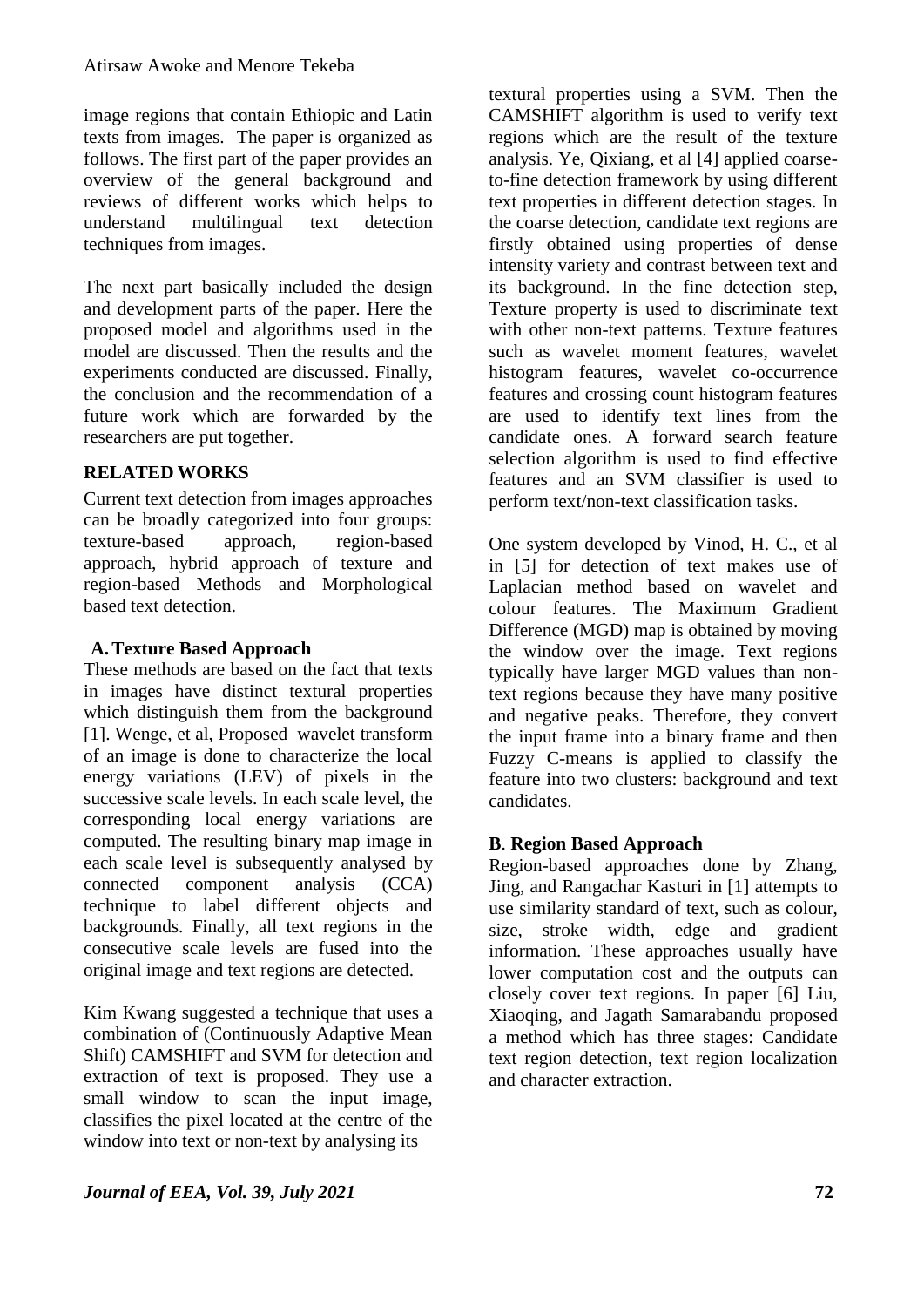image regions that contain Ethiopic and Latin texts from images. The paper is organized as follows. The first part of the paper provides an overview of the general background and reviews of different works which helps to understand multilingual text detection techniques from images.

The next part basically included the design and development parts of the paper. Here the proposed model and algorithms used in the model are discussed. Then the results and the experiments conducted are discussed. Finally, the conclusion and the recommendation of a future work which are forwarded by the researchers are put together.

## **RELATED WORKS**

Current text detection from images approaches can be broadly categorized into four groups: texture-based approach, region-based approach, hybrid approach of texture and region-based Methods and Morphological based text detection.

## **A.Texture Based Approach**

These methods are based on the fact that texts in images have distinct textural properties which distinguish them from the background [1]. Wenge, et al, Proposed wavelet transform of an image is done to characterize the local energy variations (LEV) of pixels in the successive scale levels. In each scale level, the corresponding local energy variations are computed. The resulting binary map image in each scale level is subsequently analysed by connected component analysis (CCA) technique to label different objects and backgrounds. Finally, all text regions in the consecutive scale levels are fused into the original image and text regions are detected.

Kim Kwang suggested a technique that uses a combination of (Continuously Adaptive Mean Shift) CAMSHIFT and SVM for detection and extraction of text is proposed. They use a small window to scan the input image, classifies the pixel located at the centre of the window into text or non-text by analysing its

textural properties using a SVM. Then the CAMSHIFT algorithm is used to verify text regions which are the result of the texture analysis. Ye, Qixiang, et al [4] applied coarseto-fine detection framework by using different text properties in different detection stages. In the coarse detection, candidate text regions are firstly obtained using properties of dense intensity variety and contrast between text and its background. In the fine detection step, Texture property is used to discriminate text with other non-text patterns. Texture features such as wavelet moment features, wavelet histogram features, wavelet co-occurrence features and crossing count histogram features are used to identify text lines from the candidate ones. A forward search feature selection algorithm is used to find effective features and an SVM classifier is used to perform text/non-text classification tasks.

One system developed by Vinod, H. C., et al in [5] for detection of text makes use of Laplacian method based on wavelet and colour features. The Maximum Gradient Difference (MGD) map is obtained by moving the window over the image. Text regions typically have larger MGD values than nontext regions because they have many positive and negative peaks. Therefore, they convert the input frame into a binary frame and then Fuzzy C-means is applied to classify the feature into two clusters: background and text candidates.

## **B**. **Region Based Approach**

Region-based approaches done by Zhang, Jing, and Rangachar Kasturi in [1] attempts to use similarity standard of text, such as colour, size, stroke width, edge and gradient information. These approaches usually have lower computation cost and the outputs can closely cover text regions. In paper [6] Liu, Xiaoqing, and Jagath Samarabandu proposed a method which has three stages: Candidate text region detection, text region localization and character extraction.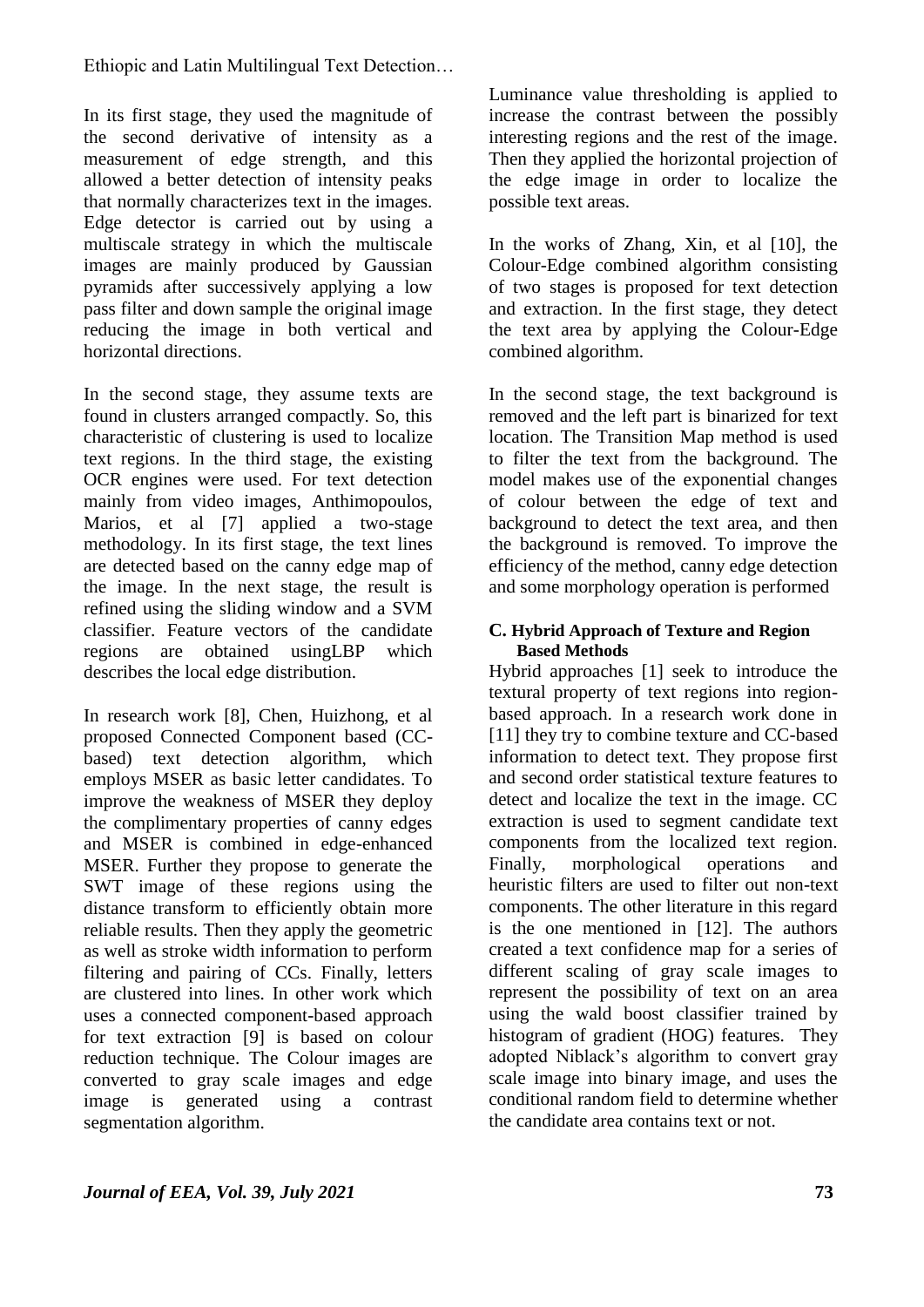In its first stage, they used the magnitude of the second derivative of intensity as a measurement of edge strength, and this allowed a better detection of intensity peaks that normally characterizes text in the images. Edge detector is carried out by using a multiscale strategy in which the multiscale images are mainly produced by Gaussian pyramids after successively applying a low pass filter and down sample the original image reducing the image in both vertical and horizontal directions.

In the second stage, they assume texts are found in clusters arranged compactly. So, this characteristic of clustering is used to localize text regions. In the third stage, the existing OCR engines were used. For text detection mainly from video images, Anthimopoulos, Marios, et al [7] applied a two-stage methodology. In its first stage, the text lines are detected based on the canny edge map of the image. In the next stage, the result is refined using the sliding window and a SVM classifier. Feature vectors of the candidate regions are obtained usingLBP which describes the local edge distribution.

In research work [8], Chen, Huizhong, et al proposed Connected Component based (CCbased) text detection algorithm, which employs MSER as basic letter candidates. To improve the weakness of MSER they deploy the complimentary properties of canny edges and MSER is combined in edge-enhanced MSER. Further they propose to generate the SWT image of these regions using the distance transform to efficiently obtain more reliable results. Then they apply the geometric as well as stroke width information to perform filtering and pairing of CCs. Finally, letters are clustered into lines. In other work which uses a connected component-based approach for text extraction [9] is based on colour reduction technique. The Colour images are converted to gray scale images and edge image is generated using a contrast segmentation algorithm.

Luminance value thresholding is applied to increase the contrast between the possibly interesting regions and the rest of the image. Then they applied the horizontal projection of the edge image in order to localize the possible text areas.

In the works of Zhang, Xin, et al [10], the Colour-Edge combined algorithm consisting of two stages is proposed for text detection and extraction. In the first stage, they detect the text area by applying the Colour-Edge combined algorithm.

In the second stage, the text background is removed and the left part is binarized for text location. The Transition Map method is used to filter the text from the background. The model makes use of the exponential changes of colour between the edge of text and background to detect the text area, and then the background is removed. To improve the efficiency of the method, canny edge detection and some morphology operation is performed

#### **C. Hybrid Approach of Texture and Region Based Methods**

Hybrid approaches [1] seek to introduce the textural property of text regions into regionbased approach. In a research work done in [11] they try to combine texture and CC-based information to detect text. They propose first and second order statistical texture features to detect and localize the text in the image. CC extraction is used to segment candidate text components from the localized text region. Finally, morphological operations and heuristic filters are used to filter out non-text components. The other literature in this regard is the one mentioned in [12]. The authors created a text confidence map for a series of different scaling of gray scale images to represent the possibility of text on an area using the wald boost classifier trained by histogram of gradient (HOG) features. They adopted Niblack's algorithm to convert gray scale image into binary image, and uses the conditional random field to determine whether the candidate area contains text or not.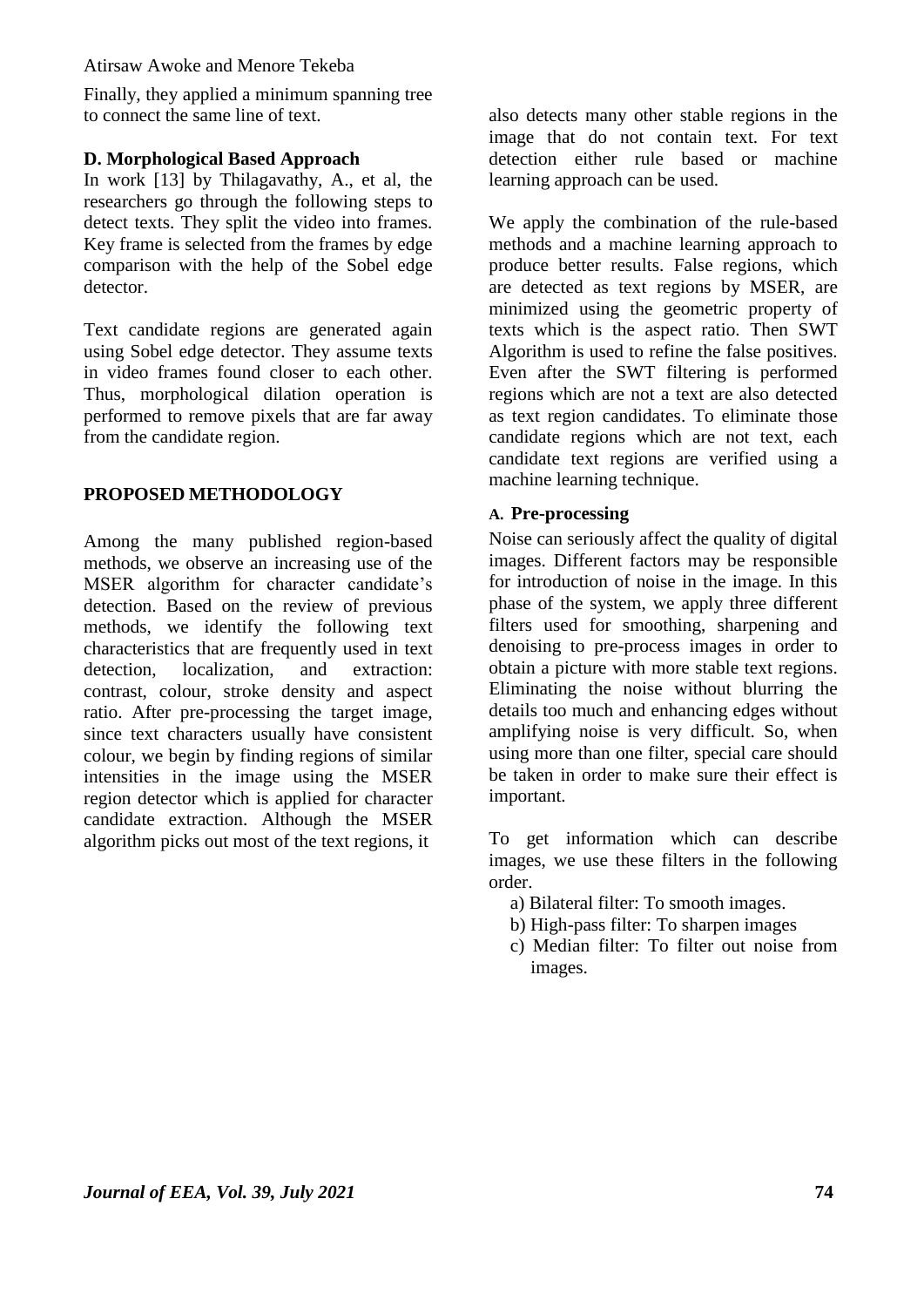Atirsaw Awoke and Menore Tekeba

Finally, they applied a minimum spanning tree to connect the same line of text.

#### **D. Morphological Based Approach**

In work [13] by Thilagavathy, A., et al, the researchers go through the following steps to detect texts. They split the video into frames. Key frame is selected from the frames by edge comparison with the help of the Sobel edge detector.

Text candidate regions are generated again using Sobel edge detector. They assume texts in video frames found closer to each other. Thus, morphological dilation operation is performed to remove pixels that are far away from the candidate region.

### **PROPOSED METHODOLOGY**

Among the many published region-based methods, we observe an increasing use of the MSER algorithm for character candidate's detection. Based on the review of previous methods, we identify the following text characteristics that are frequently used in text detection, localization, and extraction: contrast, colour, stroke density and aspect ratio. After pre-processing the target image, since text characters usually have consistent colour, we begin by finding regions of similar intensities in the image using the MSER region detector which is applied for character candidate extraction. Although the MSER algorithm picks out most of the text regions, it

also detects many other stable regions in the image that do not contain text. For text detection either rule based or machine learning approach can be used.

We apply the combination of the rule-based methods and a machine learning approach to produce better results. False regions, which are detected as text regions by MSER, are minimized using the geometric property of texts which is the aspect ratio. Then SWT Algorithm is used to refine the false positives. Even after the SWT filtering is performed regions which are not a text are also detected as text region candidates. To eliminate those candidate regions which are not text, each candidate text regions are verified using a machine learning technique.

#### **A. Pre-processing**

Noise can seriously affect the quality of digital images. Different factors may be responsible for introduction of noise in the image. In this phase of the system, we apply three different filters used for smoothing, sharpening and denoising to pre-process images in order to obtain a picture with more stable text regions. Eliminating the noise without blurring the details too much and enhancing edges without amplifying noise is very difficult. So, when using more than one filter, special care should be taken in order to make sure their effect is important.

To get information which can describe images, we use these filters in the following order.

- a) Bilateral filter: To smooth images.
- b) High-pass filter: To sharpen images
- c) Median filter: To filter out noise from images.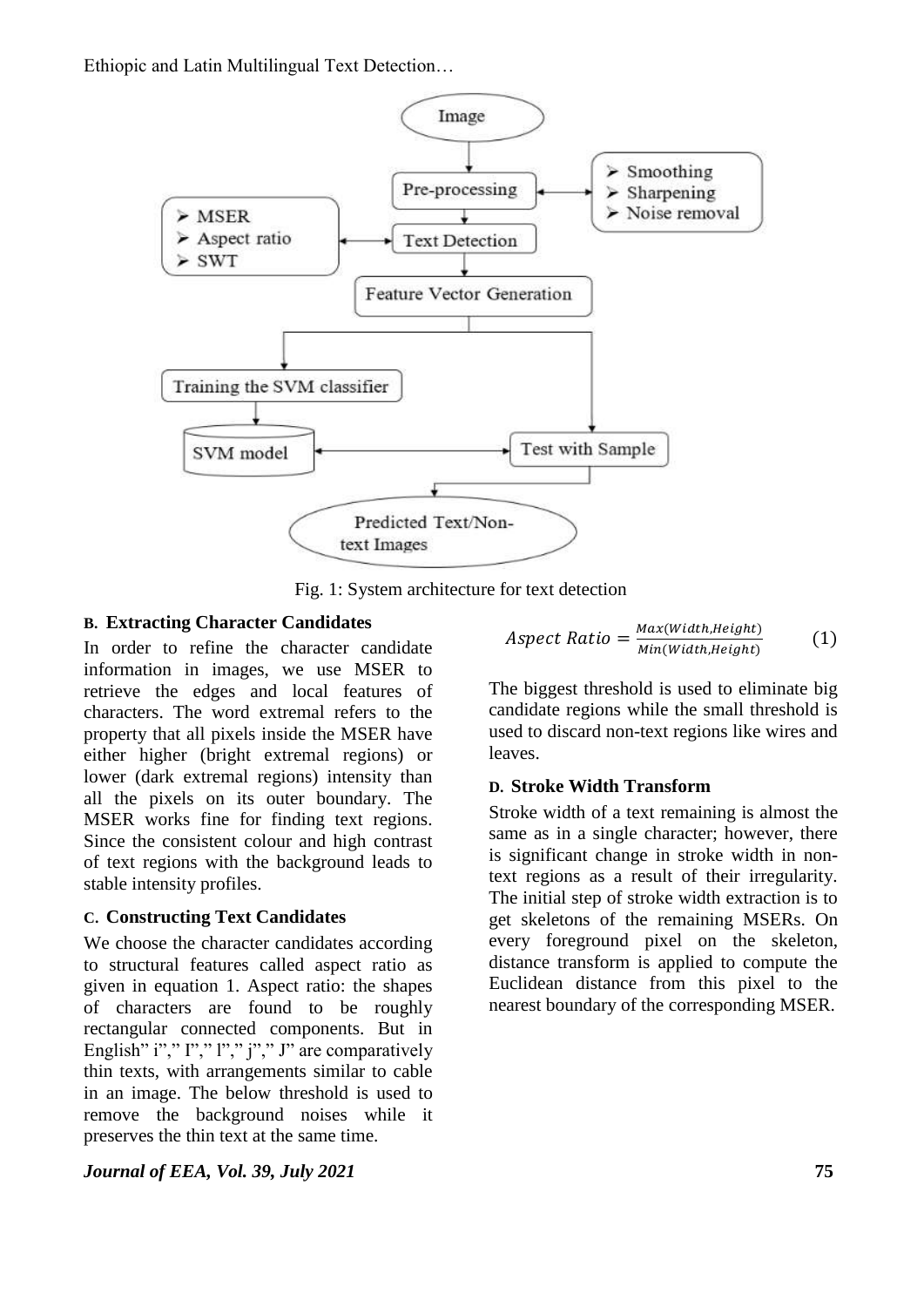

Fig. 1: System architecture for text detection

### **B. Extracting Character Candidates**

In order to refine the character candidate information in images, we use MSER to retrieve the edges and local features of characters. The word extremal refers to the property that all pixels inside the MSER have either higher (bright extremal regions) or lower (dark extremal regions) intensity than all the pixels on its outer boundary. The MSER works fine for finding text regions. Since the consistent colour and high contrast of text regions with the background leads to stable intensity profiles.

### **C. Constructing Text Candidates**

We choose the character candidates according to structural features called aspect ratio as given in equation 1. Aspect ratio: the shapes of characters are found to be roughly rectangular connected components. But in English" i"," I"," l"," j"," J" are comparatively thin texts, with arrangements similar to cable in an image. The below threshold is used to remove the background noises while it preserves the thin text at the same time.

*Journal of EEA, Vol. 39, July 2021* **75**

$$
Aspect Ratio = \frac{Max(Width, Height)}{Min(Width, Height)} \tag{1}
$$

The biggest threshold is used to eliminate big candidate regions while the small threshold is used to discard non-text regions like wires and leaves.

### **D. Stroke Width Transform**

Stroke width of a text remaining is almost the same as in a single character; however, there is significant change in stroke width in nontext regions as a result of their irregularity. The initial step of stroke width extraction is to get skeletons of the remaining MSERs. On every foreground pixel on the skeleton, distance transform is applied to compute the Euclidean distance from this pixel to the nearest boundary of the corresponding MSER.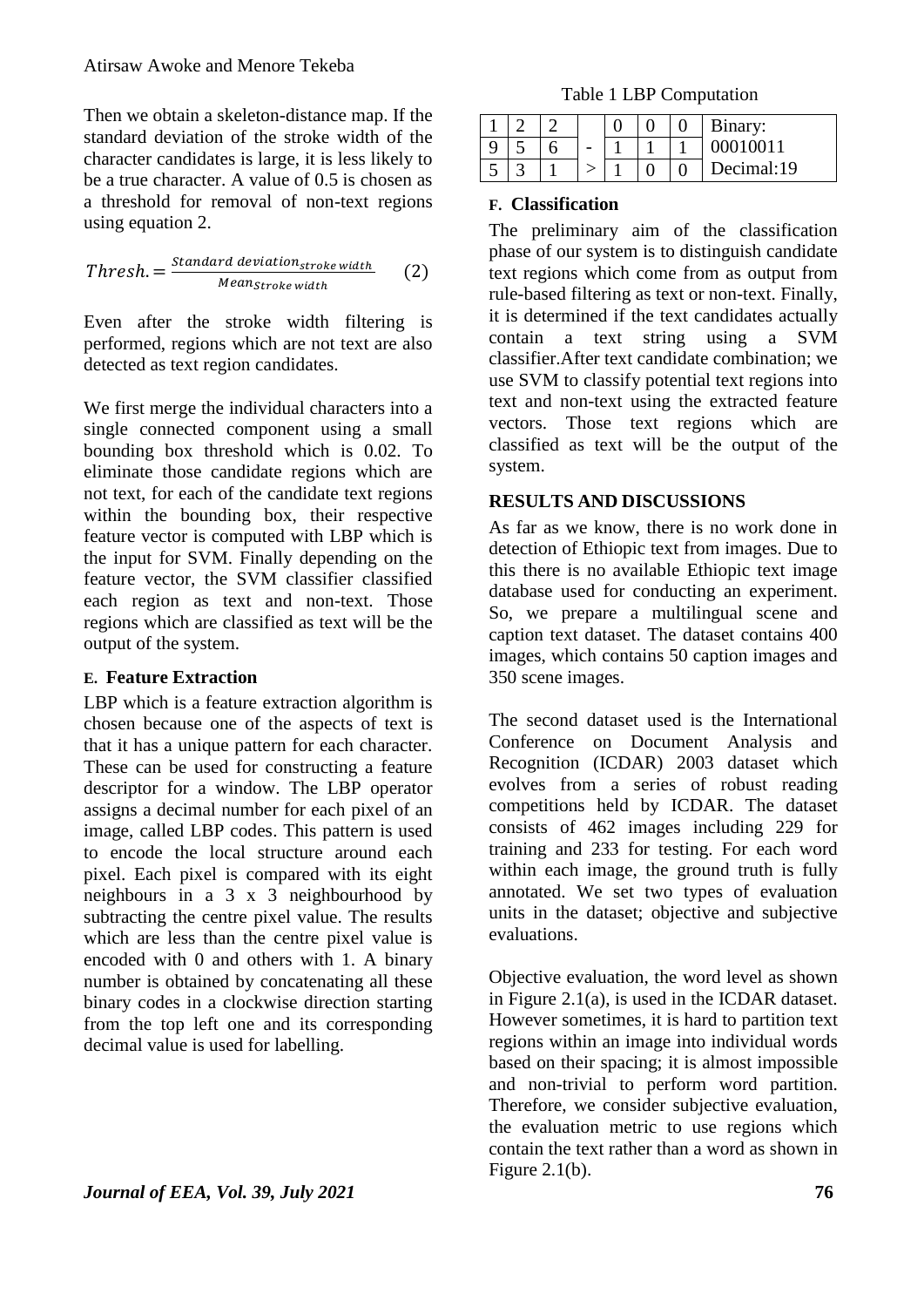Then we obtain a skeleton-distance map. If the standard deviation of the stroke width of the character candidates is large, it is less likely to be a true character. A value of 0.5 is chosen as a threshold for removal of non-text regions using equation 2.

$$
Threshold. = \frac{Standard\ deviation_{stroke\ width}}{Mean_{stroke\ width}} \qquad (2)
$$

Even after the stroke width filtering is performed, regions which are not text are also detected as text region candidates.

We first merge the individual characters into a single connected component using a small bounding box threshold which is 0.02. To eliminate those candidate regions which are not text, for each of the candidate text regions within the bounding box, their respective feature vector is computed with LBP which is the input for SVM. Finally depending on the feature vector, the SVM classifier classified each region as text and non-text. Those regions which are classified as text will be the output of the system.

### **E. Feature Extraction**

LBP which is a feature extraction algorithm is chosen because one of the aspects of text is that it has a unique pattern for each character. These can be used for constructing a feature descriptor for a window. The LBP operator assigns a decimal number for each pixel of an image, called LBP codes. This pattern is used to encode the local structure around each pixel. Each pixel is compared with its eight neighbours in a 3 x 3 neighbourhood by subtracting the centre pixel value. The results which are less than the centre pixel value is encoded with 0 and others with 1. A binary number is obtained by concatenating all these binary codes in a clockwise direction starting from the top left one and its corresponding decimal value is used for labelling.

Table 1 LBP Computation

|  |  |  | Binary:    |
|--|--|--|------------|
|  |  |  | 0001001    |
|  |  |  | Decimal:19 |

## **F. Classification**

The preliminary aim of the classification phase of our system is to distinguish candidate text regions which come from as output from rule-based filtering as text or non-text. Finally, it is determined if the text candidates actually contain a text string using a SVM classifier.After text candidate combination; we use SVM to classify potential text regions into text and non-text using the extracted feature vectors. Those text regions which are classified as text will be the output of the system.

## **RESULTS AND DISCUSSIONS**

As far as we know, there is no work done in detection of Ethiopic text from images. Due to this there is no available Ethiopic text image database used for conducting an experiment. So, we prepare a multilingual scene and caption text dataset. The dataset contains 400 images, which contains 50 caption images and 350 scene images.

The second dataset used is the International Conference on Document Analysis and Recognition (ICDAR) 2003 dataset which evolves from a series of robust reading competitions held by ICDAR. The dataset consists of 462 images including 229 for training and 233 for testing. For each word within each image, the ground truth is fully annotated. We set two types of evaluation units in the dataset; objective and subjective evaluations.

Objective evaluation, the word level as shown in Figure 2.1(a), is used in the ICDAR dataset. However sometimes, it is hard to partition text regions within an image into individual words based on their spacing; it is almost impossible and non-trivial to perform word partition. Therefore, we consider subjective evaluation, the evaluation metric to use regions which contain the text rather than a word as shown in Figure 2.1(b).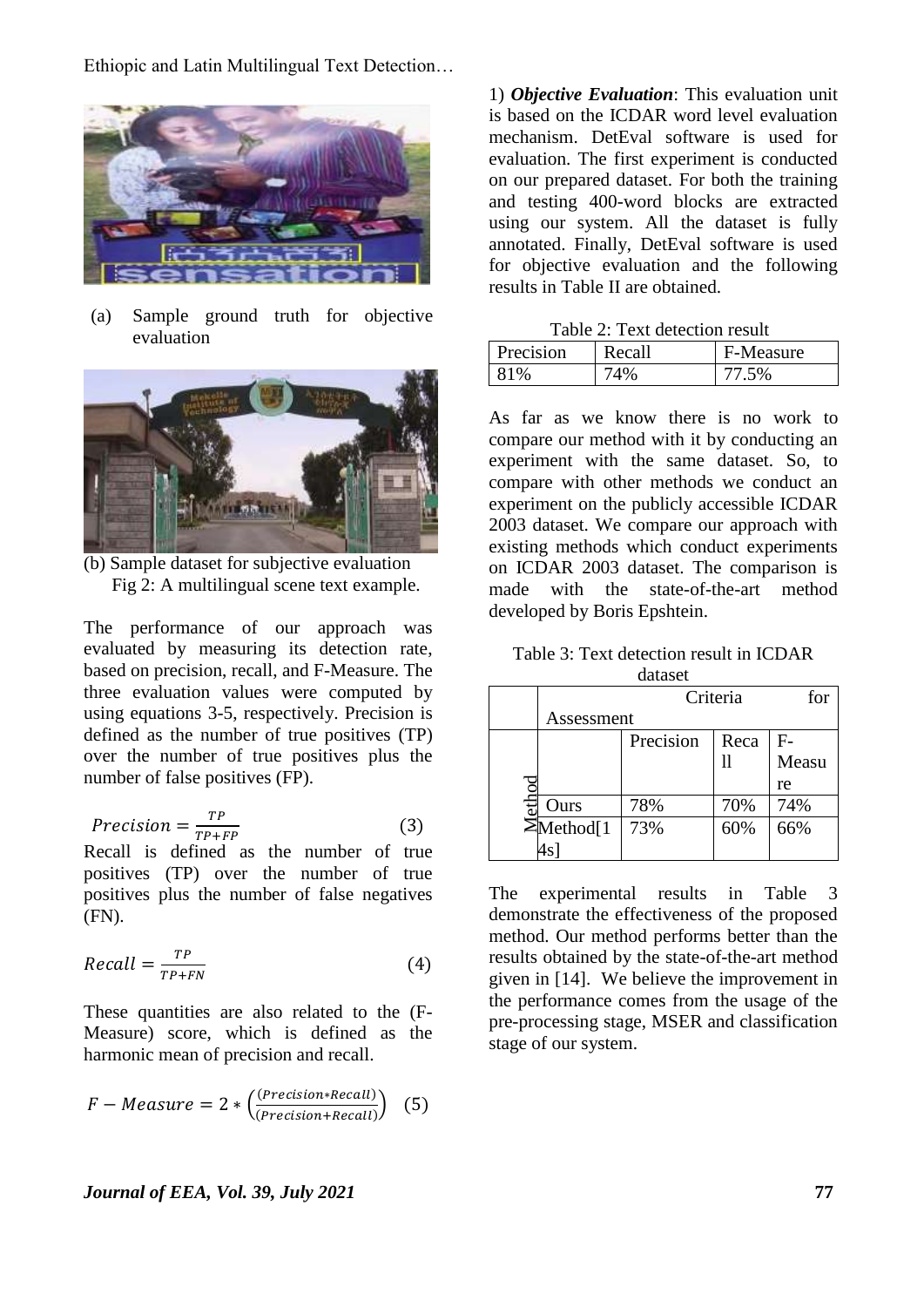

(a) Sample ground truth for objective evaluation



(b) Sample dataset for subjective evaluation Fig 2: A multilingual scene text example.

The performance of our approach was evaluated by measuring its detection rate, based on precision, recall, and F-Measure. The three evaluation values were computed by using equations 3-5, respectively. Precision is defined as the number of true positives (TP) over the number of true positives plus the number of false positives (FP).

$$
Precision = \frac{TP}{TP + FP}
$$
 (3)

Recall is defined as the number of true positives (TP) over the number of true positives plus the number of false negatives (FN).

$$
Recall = \frac{TP}{TP + FN} \tag{4}
$$

These quantities are also related to the (F-Measure) score, which is defined as the harmonic mean of precision and recall.

$$
F-Measure = 2 * \left(\frac{(Precision * Recall)}{(Precision + Recall)}\right)
$$
 (5)

1) *Objective Evaluation*: This evaluation unit is based on the ICDAR word level evaluation mechanism. DetEval software is used for evaluation. The first experiment is conducted on our prepared dataset. For both the training and testing 400-word blocks are extracted using our system. All the dataset is fully annotated. Finally, DetEval software is used for objective evaluation and the following results in Table II are obtained.

| Precision | Recall | F-Measure |
|-----------|--------|-----------|
| 81%       | 74%    | 77.5%     |

As far as we know there is no work to compare our method with it by conducting an experiment with the same dataset. So, to compare with other methods we conduct an experiment on the publicly accessible ICDAR 2003 dataset. We compare our approach with existing methods which conduct experiments on ICDAR 2003 dataset. The comparison is made with the state-of-the-art method developed by Boris Epshtein.

Table 3: Text detection result in ICDAR dataset

|   |                | for       |      |       |  |  |
|---|----------------|-----------|------|-------|--|--|
|   | Assessment     |           |      |       |  |  |
|   |                | Precision | Reca | F-    |  |  |
|   |                |           |      | Measu |  |  |
| g |                |           |      | re    |  |  |
|   | Ours           | 78%       | 70%  | 74%   |  |  |
|   | $\Xi$ Method[1 | 73%       | 60%  | 66%   |  |  |
|   |                |           |      |       |  |  |

The experimental results in Table 3 demonstrate the effectiveness of the proposed method. Our method performs better than the results obtained by the state-of-the-art method given in [14]. We believe the improvement in the performance comes from the usage of the pre-processing stage, MSER and classification stage of our system.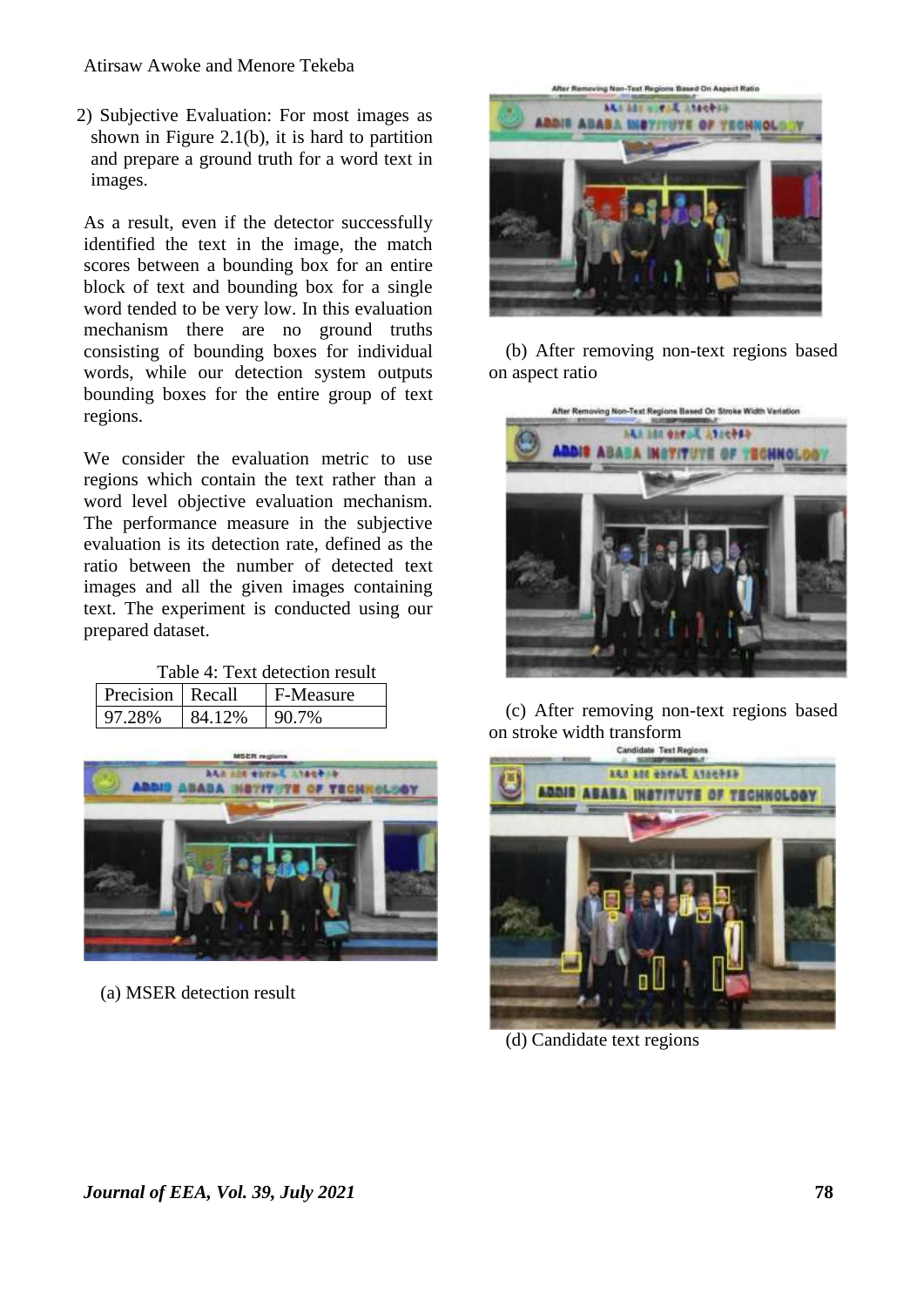2) Subjective Evaluation: For most images as shown in Figure 2.1(b), it is hard to partition and prepare a ground truth for a word text in images.

As a result, even if the detector successfully identified the text in the image, the match scores between a bounding box for an entire block of text and bounding box for a single word tended to be very low. In this evaluation mechanism there are no ground truths consisting of bounding boxes for individual words, while our detection system outputs bounding boxes for the entire group of text regions.

We consider the evaluation metric to use regions which contain the text rather than a word level objective evaluation mechanism. The performance measure in the subjective evaluation is its detection rate, defined as the ratio between the number of detected text images and all the given images containing text. The experiment is conducted using our prepared dataset.

Table 4: Text detection result

| Precision Recall |        | F-Measure |
|------------------|--------|-----------|
| 97.28%           | 84.12% | 90.7%     |



(a) MSER detection result



(b) After removing non-text regions based on aspect ratio



(c) After removing non-text regions based on stroke width transform



(d) Candidate text regions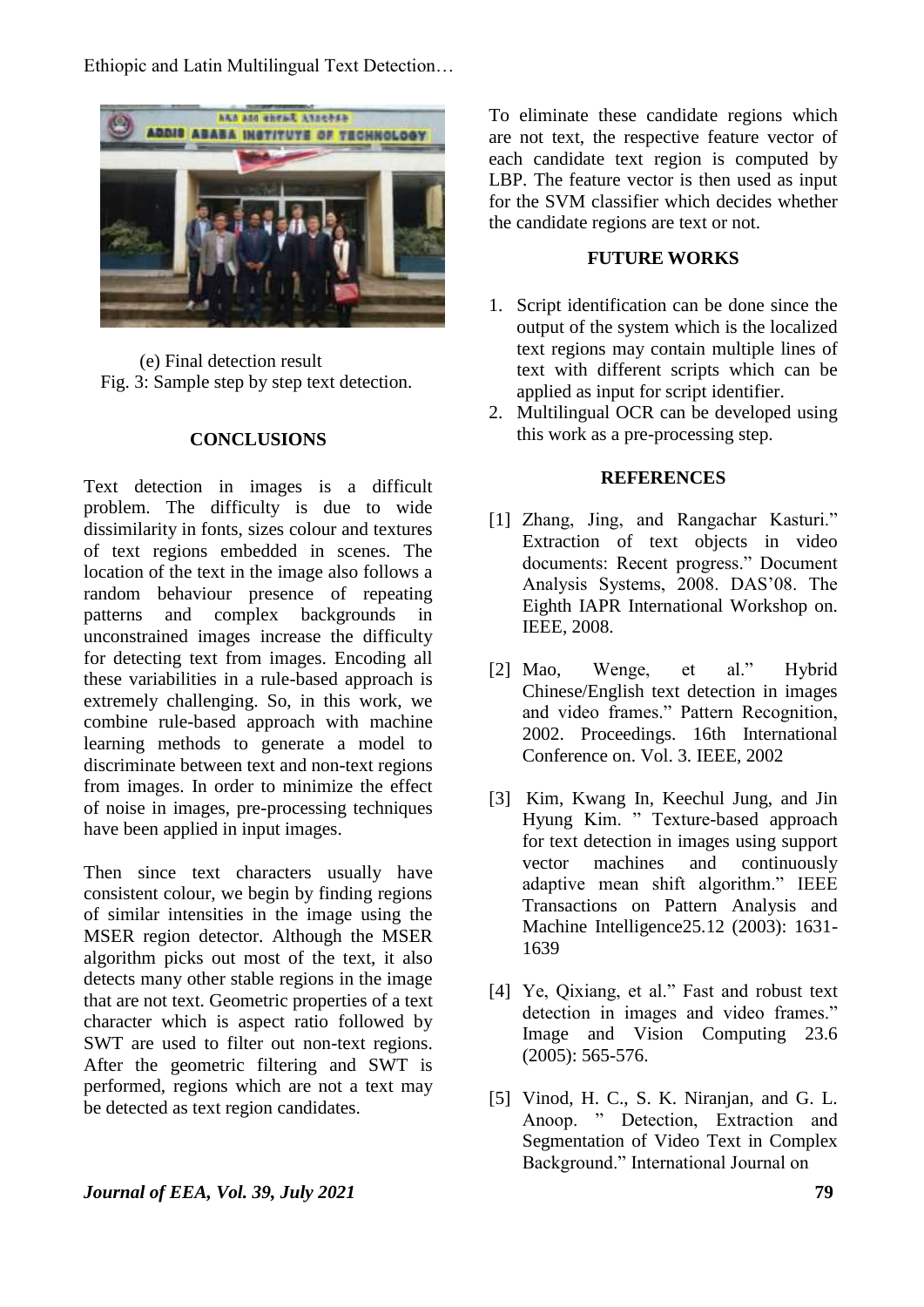

(e) Final detection result Fig. 3: Sample step by step text detection.

### **CONCLUSIONS**

Text detection in images is a difficult problem. The difficulty is due to wide dissimilarity in fonts, sizes colour and textures of text regions embedded in scenes. The location of the text in the image also follows a random behaviour presence of repeating patterns and complex backgrounds in unconstrained images increase the difficulty for detecting text from images. Encoding all these variabilities in a rule-based approach is extremely challenging. So, in this work, we combine rule-based approach with machine learning methods to generate a model to discriminate between text and non-text regions from images. In order to minimize the effect of noise in images, pre-processing techniques have been applied in input images.

Then since text characters usually have consistent colour, we begin by finding regions of similar intensities in the image using the MSER region detector. Although the MSER algorithm picks out most of the text, it also detects many other stable regions in the image that are not text. Geometric properties of a text character which is aspect ratio followed by SWT are used to filter out non-text regions. After the geometric filtering and SWT is performed, regions which are not a text may be detected as text region candidates.

To eliminate these candidate regions which are not text, the respective feature vector of each candidate text region is computed by LBP. The feature vector is then used as input for the SVM classifier which decides whether the candidate regions are text or not.

#### **FUTURE WORKS**

- 1. Script identification can be done since the output of the system which is the localized text regions may contain multiple lines of text with different scripts which can be applied as input for script identifier.
- 2. Multilingual OCR can be developed using this work as a pre-processing step.

#### **REFERENCES**

- [1] Zhang, Jing, and Rangachar Kasturi." Extraction of text objects in video documents: Recent progress." Document Analysis Systems, 2008. DAS'08. The Eighth IAPR International Workshop on. IEEE, 2008.
- [2] Mao, Wenge, et al." Hybrid Chinese/English text detection in images and video frames." Pattern Recognition, 2002. Proceedings. 16th International Conference on. Vol. 3. IEEE, 2002
- [3] Kim, Kwang In, Keechul Jung, and Jin Hyung Kim. " Texture-based approach for text detection in images using support vector machines and continuously adaptive mean shift algorithm." IEEE Transactions on Pattern Analysis and Machine Intelligence25.12 (2003): 1631- 1639
- [4] Ye, Qixiang, et al." Fast and robust text detection in images and video frames." Image and Vision Computing 23.6 (2005): 565-576.
- [5] Vinod, H. C., S. K. Niranjan, and G. L. Anoop. " Detection, Extraction and Segmentation of Video Text in Complex Background." International Journal on

#### *Journal of EEA, Vol. 39, July 2021* **79**